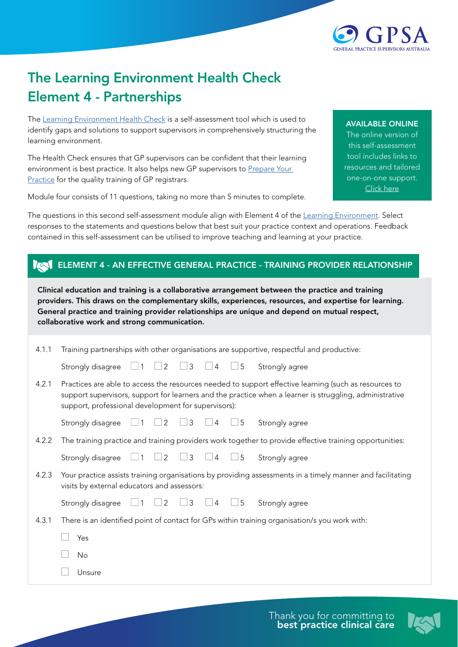

## The Learning Environment Health Check Element 4 - Partnerships

The [Learning Environment Health Check](https://gpsupervisorsaustralia.org.au/learning-environment-health-check/) is a self-assessment tool which is used to identify gaps and solutions to support supervisors in comprehensively structuring the learning environment.

The Health Check ensures that GP supervisors can be confident that their learning environment is best practice. It also helps new GP supervisors to Prepare Your [Practice](https://gpsupervisorsaustralia.org.au/prepare-your-practice/) for the quality training of GP registrars.

Module four consists of 11 questions, taking no more than 5 minutes to complete.

## AVAILABLE ONLINE

The online version of this self-assessment tool includes links to resources and tailored one-on-one support. [Click here](https://gpsupervisorsaustralia.org.au/learning-environment-health-check/ )

The questions in this second self-assessment module align with Element 4 of the [Learning Environment.](https://gpsupervisorsaustralia.org.au/the-learning-environment/) Select responses to the statements and questions below that best suit your practice context and operations. Feedback contained in this self-assessment can be utilised to improve teaching and learning at your practice.

## **IZAL ELEMENT 4 - AN EFFECTIVE GENERAL PRACTICE - TRAINING PROVIDER RELATIONSHIP**

Clinical education and training is a collaborative arrangement between the practice and training providers. This draws on the complementary skills, experiences, resources, and expertise for learning. General practice and training provider relationships are unique and depend on mutual respect, collaborative work and strong communication.

| 4.1.1 | Training partnerships with other organisations are supportive, respectful and productive:                                                                                                                                                                               |                                                                                               |                            |                   |                 |          |                                                                                                         |
|-------|-------------------------------------------------------------------------------------------------------------------------------------------------------------------------------------------------------------------------------------------------------------------------|-----------------------------------------------------------------------------------------------|----------------------------|-------------------|-----------------|----------|---------------------------------------------------------------------------------------------------------|
|       | Strongly disagree $\Box$                                                                                                                                                                                                                                                |                                                                                               | $\overline{2}$<br>$1 \Box$ | $\Box$ 3 $\Box$ 4 |                 | $\Box$ 5 | Strongly agree                                                                                          |
| 4.2.1 | Practices are able to access the resources needed to support effective learning (such as resources to<br>support supervisors, support for learners and the practice when a learner is struggling, administrative<br>support, professional development for supervisors): |                                                                                               |                            |                   |                 |          |                                                                                                         |
|       | Strongly disagree                                                                                                                                                                                                                                                       | $\mathbf{1}$                                                                                  | 2                          | $\overline{3}$    | $\overline{4}$  | $\Box$ 5 | Strongly agree                                                                                          |
| 4.2.2 |                                                                                                                                                                                                                                                                         |                                                                                               |                            |                   |                 |          | The training practice and training providers work together to provide effective training opportunities: |
|       | Strongly disagree                                                                                                                                                                                                                                                       |                                                                                               | $\vert 2 \vert$            | $\frac{1}{3}$     | $\overline{4}$  | $\Box$ 5 | Strongly agree                                                                                          |
| 4.2.3 | Your practice assists training organisations by providing assessments in a timely manner and facilitating<br>visits by external educators and assessors:                                                                                                                |                                                                                               |                            |                   |                 |          |                                                                                                         |
|       | Strongly disagree                                                                                                                                                                                                                                                       | $\mathbf{1}$                                                                                  | $\overline{2}$             | $\frac{1}{3}$     | $\vert 4 \vert$ | 5        | Strongly agree                                                                                          |
| 4.3.1 |                                                                                                                                                                                                                                                                         | There is an identified point of contact for GPs within training organisation/s you work with: |                            |                   |                 |          |                                                                                                         |
|       | Yes                                                                                                                                                                                                                                                                     |                                                                                               |                            |                   |                 |          |                                                                                                         |
|       | No.                                                                                                                                                                                                                                                                     |                                                                                               |                            |                   |                 |          |                                                                                                         |
|       | Unsure                                                                                                                                                                                                                                                                  |                                                                                               |                            |                   |                 |          |                                                                                                         |
|       |                                                                                                                                                                                                                                                                         |                                                                                               |                            |                   |                 |          |                                                                                                         |